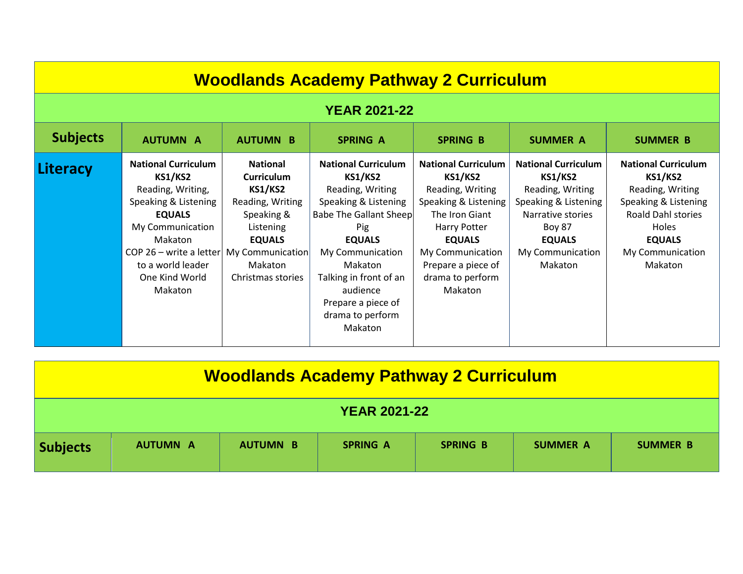| <b>Woodlands Academy Pathway 2 Curriculum</b> |                                                                                                                                                                                                                               |                                                                                                                                                                                   |                                                                                                                                                                                                                                                                             |                                                                                                                                                                                                                      |                                                                                                                                                                                |                                                                                                                                                                                       |
|-----------------------------------------------|-------------------------------------------------------------------------------------------------------------------------------------------------------------------------------------------------------------------------------|-----------------------------------------------------------------------------------------------------------------------------------------------------------------------------------|-----------------------------------------------------------------------------------------------------------------------------------------------------------------------------------------------------------------------------------------------------------------------------|----------------------------------------------------------------------------------------------------------------------------------------------------------------------------------------------------------------------|--------------------------------------------------------------------------------------------------------------------------------------------------------------------------------|---------------------------------------------------------------------------------------------------------------------------------------------------------------------------------------|
| <b>YEAR 2021-22</b>                           |                                                                                                                                                                                                                               |                                                                                                                                                                                   |                                                                                                                                                                                                                                                                             |                                                                                                                                                                                                                      |                                                                                                                                                                                |                                                                                                                                                                                       |
| <b>Subjects</b>                               | <b>AUTUMN A</b>                                                                                                                                                                                                               | <b>AUTUMN B</b>                                                                                                                                                                   | <b>SPRING A</b>                                                                                                                                                                                                                                                             | <b>SPRING B</b>                                                                                                                                                                                                      | <b>SUMMER A</b>                                                                                                                                                                | <b>SUMMER B</b>                                                                                                                                                                       |
| Literacy                                      | <b>National Curriculum</b><br><b>KS1/KS2</b><br>Reading, Writing,<br>Speaking & Listening<br><b>EQUALS</b><br>My Communication<br><b>Makaton</b><br>COP 26 - write a letter<br>to a world leader<br>One Kind World<br>Makaton | <b>National</b><br><b>Curriculum</b><br><b>KS1/KS2</b><br>Reading, Writing<br>Speaking &<br>Listening<br><b>EQUALS</b><br><b>My Communication</b><br>Makaton<br>Christmas stories | <b>National Curriculum</b><br><b>KS1/KS2</b><br>Reading, Writing<br>Speaking & Listening<br><b>Babe The Gallant Sheep</b><br>Pig<br><b>EQUALS</b><br>My Communication<br>Makaton<br>Talking in front of an<br>audience<br>Prepare a piece of<br>drama to perform<br>Makaton | <b>National Curriculum</b><br><b>KS1/KS2</b><br>Reading, Writing<br>Speaking & Listening<br>The Iron Giant<br>Harry Potter<br><b>EQUALS</b><br>My Communication<br>Prepare a piece of<br>drama to perform<br>Makaton | <b>National Curriculum</b><br><b>KS1/KS2</b><br>Reading, Writing<br>Speaking & Listening<br>Narrative stories<br><b>Boy 87</b><br><b>EQUALS</b><br>My Communication<br>Makaton | <b>National Curriculum</b><br><b>KS1/KS2</b><br>Reading, Writing<br>Speaking & Listening<br><b>Roald Dahl stories</b><br><b>Holes</b><br><b>EQUALS</b><br>My Communication<br>Makaton |

| <b>Woodlands Academy Pathway 2 Curriculum</b> |                 |                 |                 |                 |                 |                 |
|-----------------------------------------------|-----------------|-----------------|-----------------|-----------------|-----------------|-----------------|
| <b>YEAR 2021-22</b>                           |                 |                 |                 |                 |                 |                 |
| <b>Subjects</b>                               | <b>AUTUMN A</b> | <b>AUTUMN B</b> | <b>SPRING A</b> | <b>SPRING B</b> | <b>SUMMER A</b> | <b>SUMMER B</b> |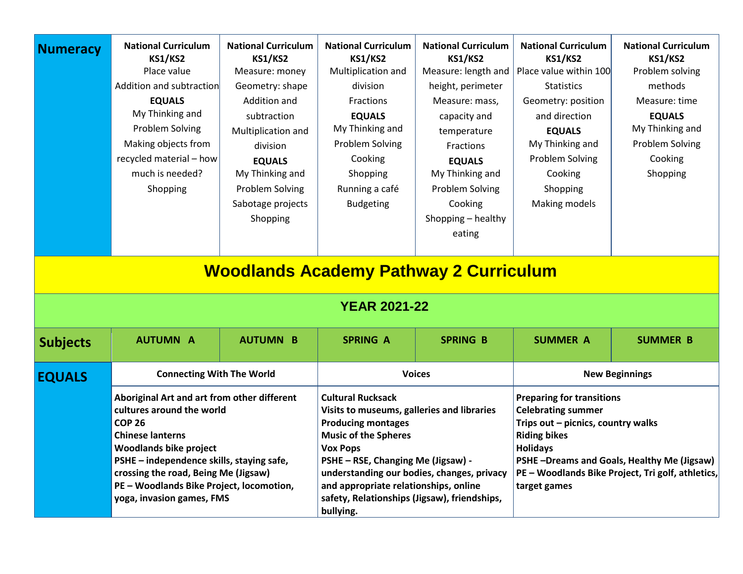| <b>Numeracy</b> | <b>National Curriculum</b><br><b>KS1/KS2</b><br>Place value<br>Addition and subtraction<br><b>EQUALS</b><br>My Thinking and<br>Problem Solving<br>Making objects from<br>recycled material - how<br>much is needed?<br>Shopping | <b>National Curriculum</b><br><b>KS1/KS2</b><br>Measure: money<br>Geometry: shape<br>Addition and<br>subtraction<br>Multiplication and<br>division<br><b>EQUALS</b><br>My Thinking and<br><b>Problem Solving</b><br>Sabotage projects<br>Shopping | <b>National Curriculum</b><br><b>KS1/KS2</b><br>Multiplication and<br>division<br>Fractions<br><b>EQUALS</b><br>My Thinking and<br>Problem Solving<br>Cooking<br>Shopping<br>Running a café<br><b>Budgeting</b><br><b>Woodlands Academy Pathway 2 Curriculum</b><br><b>YEAR 2021-22</b> | <b>National Curriculum</b><br><b>KS1/KS2</b><br>Measure: length and<br>height, perimeter<br>Measure: mass,<br>capacity and<br>temperature<br>Fractions<br><b>EQUALS</b><br>My Thinking and<br>Problem Solving<br>Cooking<br>Shopping - healthy<br>eating | <b>National Curriculum</b><br><b>KS1/KS2</b><br>Place value within 100<br><b>Statistics</b><br>Geometry: position<br>and direction<br><b>EQUALS</b><br>My Thinking and<br>Problem Solving<br>Cooking<br>Shopping<br>Making models | <b>National Curriculum</b><br><b>KS1/KS2</b><br>Problem solving<br>methods<br>Measure: time<br><b>EQUALS</b><br>My Thinking and<br>Problem Solving<br>Cooking<br>Shopping |
|-----------------|---------------------------------------------------------------------------------------------------------------------------------------------------------------------------------------------------------------------------------|---------------------------------------------------------------------------------------------------------------------------------------------------------------------------------------------------------------------------------------------------|-----------------------------------------------------------------------------------------------------------------------------------------------------------------------------------------------------------------------------------------------------------------------------------------|----------------------------------------------------------------------------------------------------------------------------------------------------------------------------------------------------------------------------------------------------------|-----------------------------------------------------------------------------------------------------------------------------------------------------------------------------------------------------------------------------------|---------------------------------------------------------------------------------------------------------------------------------------------------------------------------|
| <b>Subjects</b> | <b>AUTUMN A</b>                                                                                                                                                                                                                 | <b>AUTUMN B</b>                                                                                                                                                                                                                                   | <b>SPRING A</b>                                                                                                                                                                                                                                                                         | <b>SPRING B</b>                                                                                                                                                                                                                                          | <b>SUMMER A</b>                                                                                                                                                                                                                   | <b>SUMMER B</b>                                                                                                                                                           |
| <b>EQUALS</b>   | <b>Connecting With The World</b><br>Aboriginal Art and art from other different<br>cultures around the world<br><b>COP 26</b>                                                                                                   |                                                                                                                                                                                                                                                   | <b>Voices</b><br><b>Cultural Rucksack</b><br>Visits to museums, galleries and libraries<br><b>Producing montages</b>                                                                                                                                                                    |                                                                                                                                                                                                                                                          | <b>New Beginnings</b><br><b>Preparing for transitions</b><br><b>Celebrating summer</b><br>Trips out - picnics, country walks                                                                                                      |                                                                                                                                                                           |
|                 | <b>Chinese lanterns</b><br><b>Woodlands bike project</b><br>PSHE - independence skills, staying safe,<br>crossing the road, Being Me (Jigsaw)<br>PE - Woodlands Bike Project, locomotion,<br>yoga, invasion games, FMS          |                                                                                                                                                                                                                                                   | <b>Music of the Spheres</b><br>Vox Pops<br>PSHE - RSE, Changing Me (Jigsaw) -<br>understanding our bodies, changes, privacy<br>and appropriate relationships, online<br>safety, Relationships (Jigsaw), friendships,<br>bullying.                                                       |                                                                                                                                                                                                                                                          | <b>Riding bikes</b><br><b>Holidays</b><br>PSHE-Dreams and Goals, Healthy Me (Jigsaw)<br>PE - Woodlands Bike Project, Tri golf, athletics,<br>target games                                                                         |                                                                                                                                                                           |